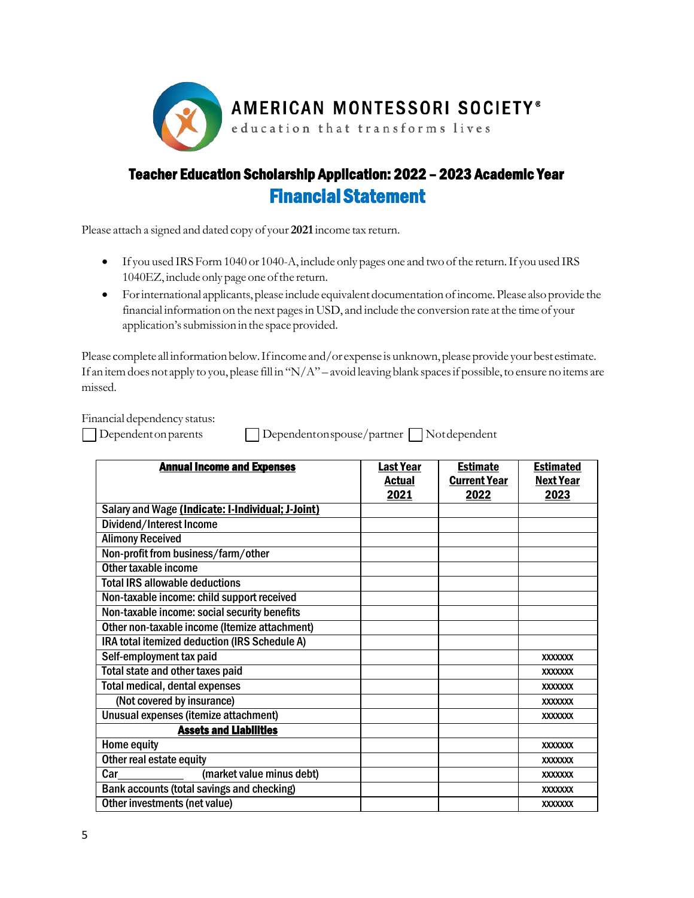

## Teacher Education Scholarship Application: 2022 – 2023 Academic Year Financial Statement

Please attach a signed and dated copy of your **2021**income tax return.

- If you used IRS Form 1040 or 1040-A, include only pages one and two of the return. If you used IRS 1040EZ, include only page one of the return.
- Forinternational applicants, please include equivalent documentation ofincome.Please also provide the financial information on the next pages in USD, and include the conversion rate at the time of your application's submission in the space provided.

Please complete all information below. If income and/or expense is unknown, please provide your best estimate. If an item does not apply to you, please fill in "N/A" – avoid leaving blank spaces if possible, to ensure no items are missed.

Financial dependency status:

| Dependenton |  |
|-------------|--|
|             |  |

nparents Dependentonspouse/partner Notdependent

| <b>Annual Income and Expenses</b>                 | Last Year<br><b>Actual</b> | <b>Estimate</b><br><b>Current Year</b> | <b>Estimated</b><br><b>Next Year</b> |
|---------------------------------------------------|----------------------------|----------------------------------------|--------------------------------------|
|                                                   | 2021                       | 2022                                   | 2023                                 |
| Salary and Wage (Indicate: I-Individual; J-Joint) |                            |                                        |                                      |
| Dividend/Interest Income                          |                            |                                        |                                      |
| <b>Alimony Received</b>                           |                            |                                        |                                      |
| Non-profit from business/farm/other               |                            |                                        |                                      |
| Other taxable income                              |                            |                                        |                                      |
| <b>Total IRS allowable deductions</b>             |                            |                                        |                                      |
| Non-taxable income: child support received        |                            |                                        |                                      |
| Non-taxable income: social security benefits      |                            |                                        |                                      |
| Other non-taxable income (Itemize attachment)     |                            |                                        |                                      |
| IRA total itemized deduction (IRS Schedule A)     |                            |                                        |                                      |
| Self-employment tax paid                          |                            |                                        | <b>XXXXXXX</b>                       |
| Total state and other taxes paid                  |                            |                                        | <b>XXXXXXX</b>                       |
| <b>Total medical, dental expenses</b>             |                            |                                        | <b>XXXXXXX</b>                       |
| (Not covered by insurance)                        |                            |                                        | <b>XXXXXXX</b>                       |
| Unusual expenses (itemize attachment)             |                            |                                        | <b>XXXXXXX</b>                       |
| <b>Assets and Liabilities</b>                     |                            |                                        |                                      |
| Home equity                                       |                            |                                        | <b>XXXXXXX</b>                       |
| Other real estate equity                          |                            |                                        | <b>XXXXXXX</b>                       |
| Car<br>(market value minus debt)                  |                            |                                        | <b>XXXXXXX</b>                       |
| Bank accounts (total savings and checking)        |                            |                                        | <b>XXXXXXX</b>                       |
| Other investments (net value)                     |                            |                                        | <b>XXXXXXX</b>                       |